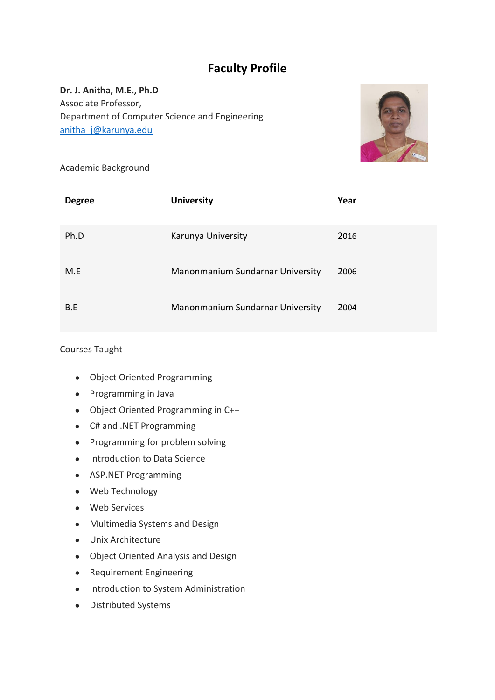# **Faculty Profile**

## **Dr. J. Anitha, M.E., Ph.D** Associate Professor, Department of Computer Science and Engineering [anitha\\_j@karunya.edu](mailto:anitha_j@karunya.edu)



Academic Background

| <b>Degree</b> | <b>University</b>                | Year |
|---------------|----------------------------------|------|
| Ph.D          | Karunya University               | 2016 |
| M.E           | Manonmanium Sundarnar University | 2006 |
| B.E           | Manonmanium Sundarnar University | 2004 |

#### Courses Taught

- Object Oriented Programming
- Programming in Java
- Object Oriented Programming in C++
- C# and .NET Programming
- Programming for problem solving
- Introduction to Data Science
- ASP.NET Programming
- Web Technology
- Web Services
- Multimedia Systems and Design
- Unix Architecture
- Object Oriented Analysis and Design
- Requirement Engineering
- Introduction to System Administration
- Distributed Systems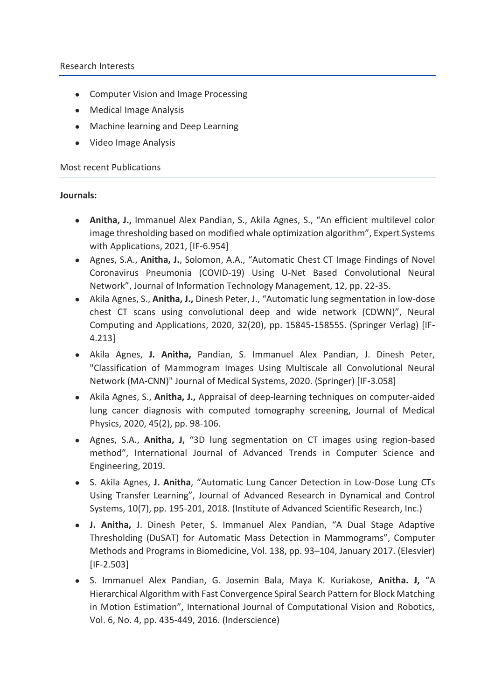#### Research Interests

- Computer Vision and Image Processing
- Medical Image Analysis
- Machine learning and Deep Learning
- Video Image Analysis

#### Most recent Publications

## **Journals:**

- **Anitha, J.,** Immanuel Alex Pandian, S., Akila Agnes, S., "An efficient multilevel color image thresholding based on modified whale optimization algorithm", Expert Systems with Applications, 2021, [IF-6.954]
- Agnes, S.A., **Anitha, J.**, Solomon, A.A., "Automatic Chest CT Image Findings of Novel Coronavirus Pneumonia (COVID-19) Using U-Net Based Convolutional Neural Network", Journal of Information Technology Management, 12, pp. 22-35.
- Akila Agnes, S., **Anitha, J.,** Dinesh Peter, J., "Automatic lung segmentation in low-dose chest CT scans using convolutional deep and wide network (CDWN)", Neural Computing and Applications, 2020, 32(20), pp. 15845-15855S. (Springer Verlag) [IF-4.213]
- Akila Agnes, **J. Anitha,** Pandian, S. Immanuel Alex Pandian, J. Dinesh Peter, "Classification of Mammogram Images Using Multiscale all Convolutional Neural Network (MA-CNN)" Journal of Medical Systems, 2020. (Springer) [IF-3.058]
- Akila Agnes, S., **Anitha, J.,** Appraisal of deep-learning techniques on computer-aided lung cancer diagnosis with computed tomography screening, Journal of Medical Physics, 2020, 45(2), pp. 98-106.
- Agnes, S.A., **Anitha, J,** "3D lung segmentation on CT images using region-based method", International Journal of Advanced Trends in Computer Science and Engineering, 2019.
- S. Akila Agnes, **J. Anitha**, "Automatic Lung Cancer Detection in Low-Dose Lung CTs Using Transfer Learning", Journal of Advanced Research in Dynamical and Control Systems, 10(7), pp. 195-201, 2018. (Institute of Advanced Scientific Research, Inc.)
- **J. Anitha,** J. Dinesh Peter, S. Immanuel Alex Pandian, "A Dual Stage Adaptive Thresholding (DuSAT) for Automatic Mass Detection in Mammograms", Computer Methods and Programs in Biomedicine, Vol. 138, pp. 93–104, January 2017. (Elesvier) [IF-2.503]
- S. Immanuel Alex Pandian, G. Josemin Bala, Maya K. Kuriakose, **Anitha. J,** "A Hierarchical Algorithm with Fast Convergence Spiral Search Pattern for Block Matching in Motion Estimation", International Journal of Computational Vision and Robotics, Vol. 6, No. 4, pp. 435-449, 2016. (Inderscience)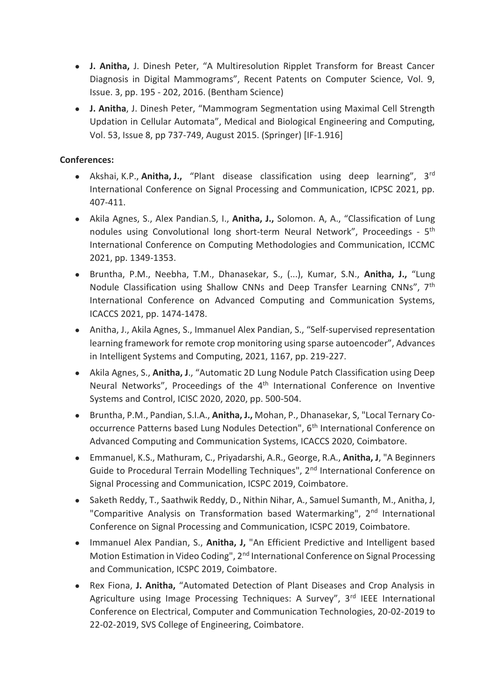- **J. Anitha,** J. Dinesh Peter, "A Multiresolution Ripplet Transform for Breast Cancer Diagnosis in Digital Mammograms", Recent Patents on Computer Science, Vol. 9, Issue. 3, pp. 195 - 202, 2016. (Bentham Science)
- **J. Anitha**, J. Dinesh Peter, "Mammogram Segmentation using Maximal Cell Strength Updation in Cellular Automata", Medical and Biological Engineering and Computing, Vol. 53, Issue 8, pp 737-749, August 2015. (Springer) [IF-1.916]

## **Conferences:**

- Akshai, K.P., **Anitha, J.,** "Plant disease classification using deep learning", 3rd International Conference on Signal Processing and Communication, ICPSC 2021, pp. 407-411.
- Akila Agnes, S., Alex Pandian.S, I., **Anitha, J.,** Solomon. A, A., "Classification of Lung nodules using Convolutional long short-term Neural Network", Proceedings - 5<sup>th</sup> International Conference on Computing Methodologies and Communication, ICCMC 2021, pp. 1349-1353.
- Bruntha, P.M., Neebha, T.M., Dhanasekar, S., (...), Kumar, S.N., **Anitha, J.,** "Lung Nodule Classification using Shallow CNNs and Deep Transfer Learning CNNs", 7th International Conference on Advanced Computing and Communication Systems, ICACCS 2021, pp. 1474-1478.
- Anitha, J., Akila Agnes, S., Immanuel Alex Pandian, S., "Self-supervised representation learning framework for remote crop monitoring using sparse autoencoder", Advances in Intelligent Systems and Computing, 2021, 1167, pp. 219-227.
- Akila Agnes, S., **Anitha, J**., "Automatic 2D Lung Nodule Patch Classification using Deep Neural Networks", Proceedings of the 4<sup>th</sup> International Conference on Inventive Systems and Control, ICISC 2020, 2020, pp. 500-504.
- Bruntha, P.M., Pandian, S.I.A., **Anitha, J.,** Mohan, P., Dhanasekar, S, "Local Ternary Cooccurrence Patterns based Lung Nodules Detection", 6<sup>th</sup> International Conference on Advanced Computing and Communication Systems, ICACCS 2020, Coimbatore.
- Emmanuel, K.S., Mathuram, C., Priyadarshi, A.R., George, R.A., **Anitha, J**, "A Beginners Guide to Procedural Terrain Modelling Techniques", 2<sup>nd</sup> International Conference on Signal Processing and Communication, ICSPC 2019, Coimbatore.
- Saketh Reddy, T., Saathwik Reddy, D., Nithin Nihar, A., Samuel Sumanth, M., Anitha, J, "Comparitive Analysis on Transformation based Watermarking", 2<sup>nd</sup> International Conference on Signal Processing and Communication, ICSPC 2019, Coimbatore.
- Immanuel Alex Pandian, S., **Anitha, J,** "An Efficient Predictive and Intelligent based Motion Estimation in Video Coding", 2<sup>nd</sup> International Conference on Signal Processing and Communication, ICSPC 2019, Coimbatore.
- Rex Fiona, **J. Anitha,** "Automated Detection of Plant Diseases and Crop Analysis in Agriculture using Image Processing Techniques: A Survey", 3rd IEEE International Conference on Electrical, Computer and Communication Technologies, 20-02-2019 to 22-02-2019, SVS College of Engineering, Coimbatore.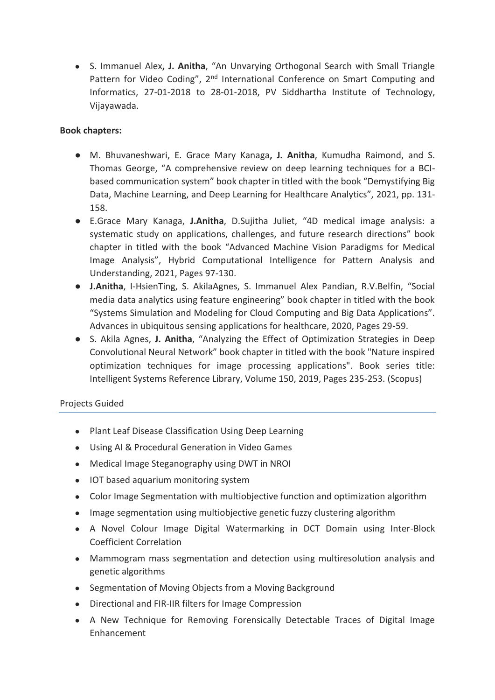● S. Immanuel Alex**, J. Anitha**, "An Unvarying Orthogonal Search with Small Triangle Pattern for Video Coding", 2<sup>nd</sup> International Conference on Smart Computing and Informatics, 27-01-2018 to 28-01-2018, PV Siddhartha Institute of Technology, Vijayawada.

## **Book chapters:**

- M. Bhuvaneshwari, E. Grace Mary Kanaga**, J. Anitha**, Kumudha Raimond, and S. Thomas George, "A comprehensive review on deep learning techniques for a BCIbased communication system" book chapter in titled with the book "Demystifying Big Data, Machine Learning, and Deep Learning for Healthcare Analytics", 2021, pp. 131- 158.
- E.Grace Mary Kanaga, **J.Anitha**, D.Sujitha Juliet, "4D medical image analysis: a systematic study on applications, challenges, and future research directions" book chapter in titled with the book "Advanced Machine Vision Paradigms for Medical Image Analysis", Hybrid Computational Intelligence for Pattern Analysis and Understanding, 2021, Pages 97-130.
- **J.Anitha**, I-HsienTing, S. AkilaAgnes, S. Immanuel Alex Pandian, R.V.Belfin, "Social media data analytics using feature engineering" book chapter in titled with the book "Systems Simulation and Modeling for Cloud Computing and Big Data Applications". Advances in ubiquitous sensing applications for healthcare, 2020, Pages 29-59.
- S. Akila Agnes, **J. Anitha**, "Analyzing the Effect of Optimization Strategies in Deep Convolutional Neural Network" book chapter in titled with the book "Nature inspired optimization techniques for image processing applications". Book series title: Intelligent Systems Reference Library, Volume 150, 2019, Pages 235-253. (Scopus)

## Projects Guided

- Plant Leaf Disease Classification Using Deep Learning
- Using AI & Procedural Generation in Video Games
- Medical Image Steganography using DWT in NROI
- IOT based aquarium monitoring system
- Color Image Segmentation with multiobjective function and optimization algorithm
- Image segmentation using multiobjective genetic fuzzy clustering algorithm
- A Novel Colour Image Digital Watermarking in DCT Domain using Inter-Block Coefficient Correlation
- Mammogram mass segmentation and detection using multiresolution analysis and genetic algorithms
- Segmentation of Moving Objects from a Moving Background
- Directional and FIR-IIR filters for Image Compression
- A New Technique for Removing Forensically Detectable Traces of Digital Image Enhancement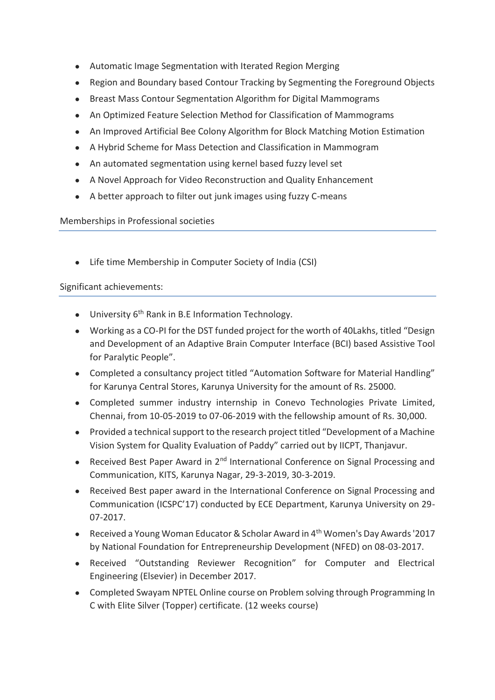- Automatic Image Segmentation with Iterated Region Merging
- Region and Boundary based Contour Tracking by Segmenting the Foreground Objects
- Breast Mass Contour Segmentation Algorithm for Digital Mammograms
- An Optimized Feature Selection Method for Classification of Mammograms
- An Improved Artificial Bee Colony Algorithm for Block Matching Motion Estimation
- A Hybrid Scheme for Mass Detection and Classification in Mammogram
- An automated segmentation using kernel based fuzzy level set
- A Novel Approach for Video Reconstruction and Quality Enhancement
- A better approach to filter out junk images using fuzzy C-means

## Memberships in Professional societies

● Life time Membership in Computer Society of India (CSI)

## Significant achievements:

- University 6<sup>th</sup> Rank in B.E Information Technology.
- Working as a CO-PI for the DST funded project for the worth of 40Lakhs, titled "Design and Development of an Adaptive Brain Computer Interface (BCI) based Assistive Tool for Paralytic People".
- Completed a consultancy project titled "Automation Software for Material Handling" for Karunya Central Stores, Karunya University for the amount of Rs. 25000.
- Completed summer industry internship in Conevo Technologies Private Limited, Chennai, from 10-05-2019 to 07-06-2019 with the fellowship amount of Rs. 30,000.
- Provided a technical support to the research project titled "Development of a Machine Vision System for Quality Evaluation of Paddy" carried out by IICPT, Thanjavur.
- Received Best Paper Award in 2<sup>nd</sup> International Conference on Signal Processing and Communication, KITS, Karunya Nagar, 29-3-2019, 30-3-2019.
- Received Best paper award in the International Conference on Signal Processing and Communication (ICSPC'17) conducted by ECE Department, Karunya University on 29- 07-2017.
- Received a Young Woman Educator & Scholar Award in 4<sup>th</sup> Women's Day Awards '2017 by National Foundation for Entrepreneurship Development (NFED) on 08-03-2017.
- Received "Outstanding Reviewer Recognition" for Computer and Electrical Engineering (Elsevier) in December 2017.
- Completed Swayam NPTEL Online course on Problem solving through Programming In C with Elite Silver (Topper) certificate. (12 weeks course)